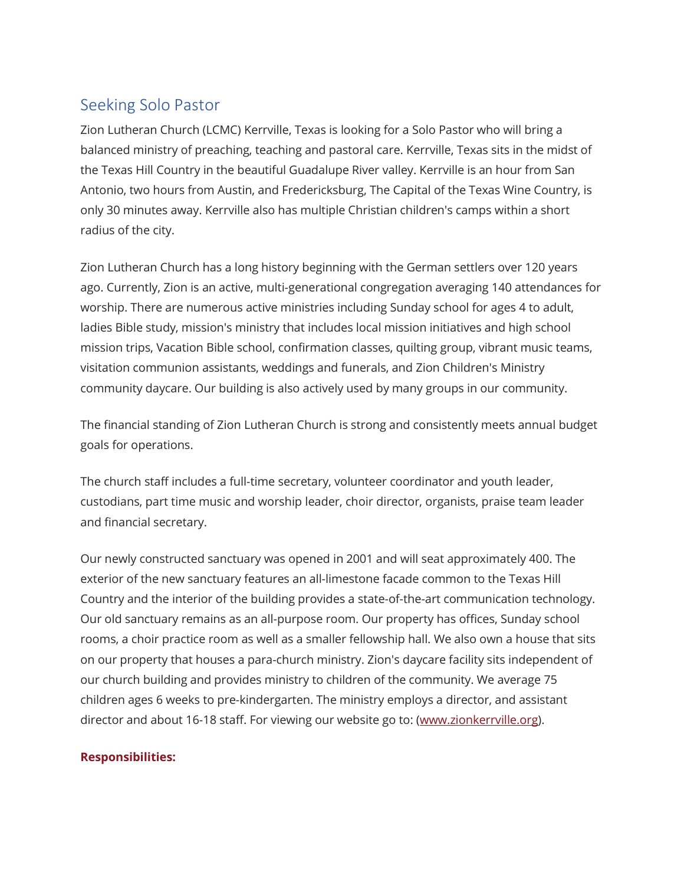## Seeking Solo Pastor

Zion Lutheran Church (LCMC) Kerrville, Texas is looking for a Solo Pastor who will bring a balanced ministry of preaching, teaching and pastoral care. Kerrville, Texas sits in the midst of the Texas Hill Country in the beautiful Guadalupe River valley. Kerrville is an hour from San Antonio, two hours from Austin, and Fredericksburg, The Capital of the Texas Wine Country, is only 30 minutes away. Kerrville also has multiple Christian children's camps within a short radius of the city.

Zion Lutheran Church has a long history beginning with the German settlers over 120 years ago. Currently, Zion is an active, multi-generational congregation averaging 140 attendances for worship. There are numerous active ministries including Sunday school for ages 4 to adult, ladies Bible study, mission's ministry that includes local mission initiatives and high school mission trips, Vacation Bible school, confirmation classes, quilting group, vibrant music teams, visitation communion assistants, weddings and funerals, and Zion Children's Ministry community daycare. Our building is also actively used by many groups in our community.

The financial standing of Zion Lutheran Church is strong and consistently meets annual budget goals for operations.

The church staff includes a full-time secretary, volunteer coordinator and youth leader, custodians, part time music and worship leader, choir director, organists, praise team leader and financial secretary.

Our newly constructed sanctuary was opened in 2001 and will seat approximately 400. The exterior of the new sanctuary features an all-limestone facade common to the Texas Hill Country and the interior of the building provides a state-of-the-art communication technology. Our old sanctuary remains as an all-purpose room. Our property has offices, Sunday school rooms, a choir practice room as well as a smaller fellowship hall. We also own a house that sits on our property that houses a para-church ministry. Zion's daycare facility sits independent of our church building and provides ministry to children of the community. We average 75 children ages 6 weeks to pre-kindergarten. The ministry employs a director, and assistant director and about 16-18 staff. For viewing our website go to: (www.zionkerrville.org).

## **Responsibilities:**